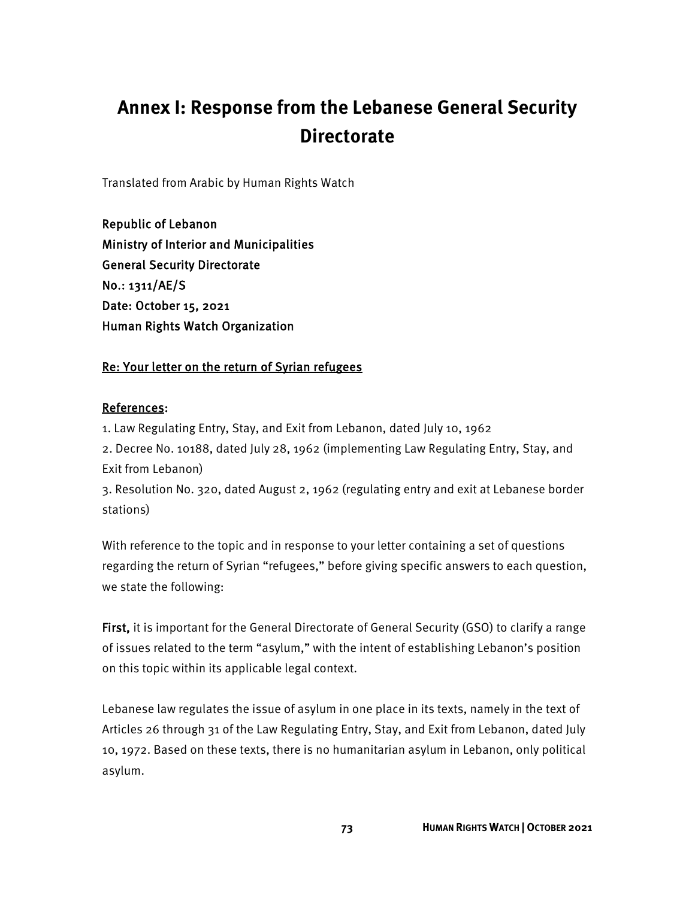# **Annex I: Response from the Lebanese General Security Directorate**

Translated from Arabic by Human Rights Watch

Republic of Lebanon Ministry of Interior and Municipalities General Security Directorate No.: 1311/AE/S Date: October 15, 2021 Human Rights Watch Organization

# Re: Your letter on the return of Syrian refugees

## References:

1. Law Regulating Entry, Stay, and Exit from Lebanon, dated July 10, 1962 2. Decree No. 10188, dated July 28, 1962 (implementing Law Regulating Entry, Stay, and Exit from Lebanon)

3. Resolution No. 320, dated August 2, 1962 (regulating entry and exit at Lebanese border stations)

With reference to the topic and in response to your letter containing a set of questions regarding the return of Syrian "refugees," before giving specific answers to each question, we state the following:

First, it is important for the General Directorate of General Security (GSO) to clarify a range of issues related to the term "asylum," with the intent of establishing Lebanon's position on this topic within its applicable legal context.

Lebanese law regulates the issue of asylum in one place in its texts, namely in the text of Articles 26 through 31 of the Law Regulating Entry, Stay, and Exit from Lebanon, dated July 10, 1972. Based on these texts, there is no humanitarian asylum in Lebanon, only political asylum.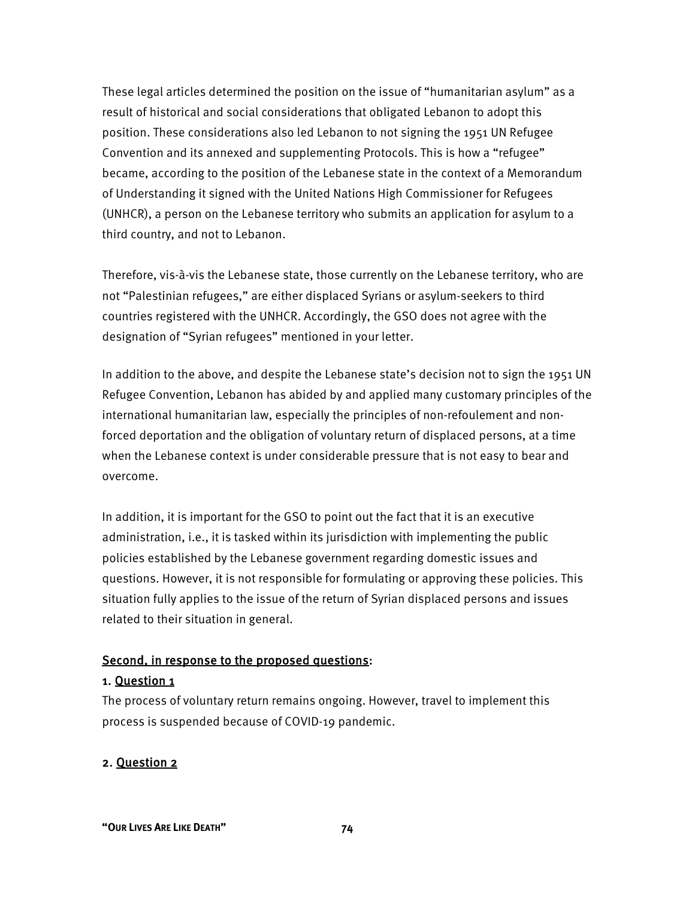These legal articles determined the position on the issue of "humanitarian asylum" as a result of historical and social considerations that obligated Lebanon to adopt this position. These considerations also led Lebanon to not signing the 1951 UN Refugee Convention and its annexed and supplementing Protocols. This is how a "refugee" became, according to the position of the Lebanese state in the context of a Memorandum of Understanding it signed with the United Nations High Commissioner for Refugees (UNHCR), a person on the Lebanese territory who submits an application for asylum to a third country, and not to Lebanon.

Therefore, vis-à-vis the Lebanese state, those currently on the Lebanese territory, who are not "Palestinian refugees," are either displaced Syrians or asylum-seekers to third countries registered with the UNHCR. Accordingly, the GSO does not agree with the designation of "Syrian refugees" mentioned in your letter.

In addition to the above, and despite the Lebanese state's decision not to sign the 1951 UN Refugee Convention, Lebanon has abided by and applied many customary principles of the international humanitarian law, especially the principles of non-refoulement and nonforced deportation and the obligation of voluntary return of displaced persons, at a time when the Lebanese context is under considerable pressure that is not easy to bear and overcome.

In addition, it is important for the GSO to point out the fact that it is an executive administration, i.e., it is tasked within its jurisdiction with implementing the public policies established by the Lebanese government regarding domestic issues and questions. However, it is not responsible for formulating or approving these policies. This situation fully applies to the issue of the return of Syrian displaced persons and issues related to their situation in general.

#### Second, in response to the proposed questions:

#### 1. Question 1

The process of voluntary return remains ongoing. However, travel to implement this process is suspended because of COVID-19 pandemic.

#### 2. Question 2

**"OUR LIVES ARE LIKE DEATH" 74**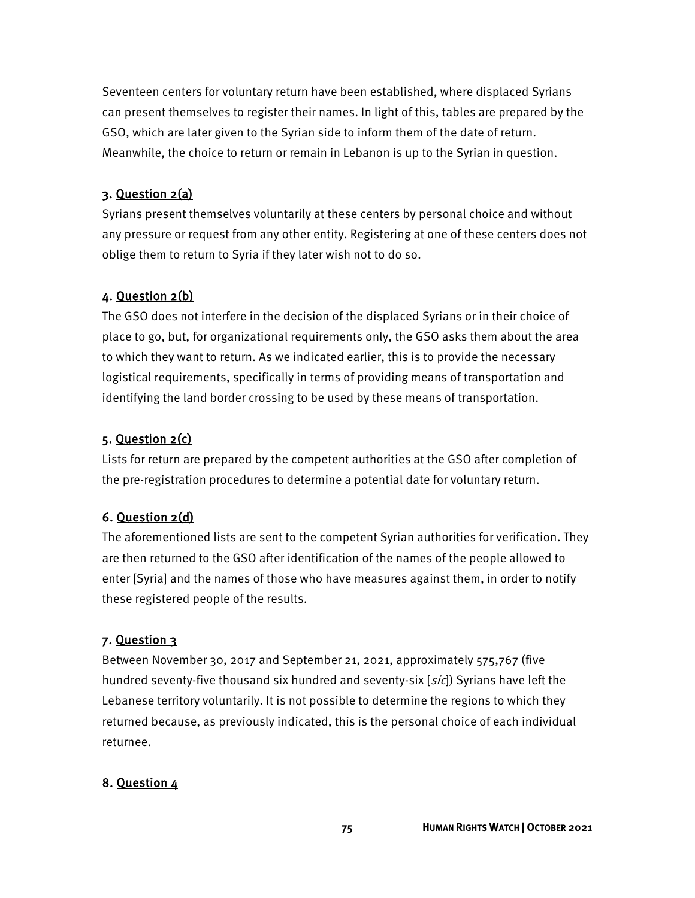Seventeen centers for voluntary return have been established, where displaced Syrians can present themselves to register their names. In light of this, tables are prepared by the GSO, which are later given to the Syrian side to inform them of the date of return. Meanwhile, the choice to return or remain in Lebanon is up to the Syrian in question.

#### 3. Question 2(a)

Syrians present themselves voluntarily at these centers by personal choice and without any pressure or request from any other entity. Registering at one of these centers does not oblige them to return to Syria if they later wish not to do so.

#### 4. Question 2(b)

The GSO does not interfere in the decision of the displaced Syrians or in their choice of place to go, but, for organizational requirements only, the GSO asks them about the area to which they want to return. As we indicated earlier, this is to provide the necessary logistical requirements, specifically in terms of providing means of transportation and identifying the land border crossing to be used by these means of transportation.

#### 5. Question 2(c)

Lists for return are prepared by the competent authorities at the GSO after completion of the pre-registration procedures to determine a potential date for voluntary return.

#### 6. Question 2(d)

The aforementioned lists are sent to the competent Syrian authorities for verification. They are then returned to the GSO after identification of the names of the people allowed to enter [Syria] and the names of those who have measures against them, in order to notify these registered people of the results.

#### 7. Question 3

Between November 30, 2017 and September 21, 2021, approximately 575,767 (five hundred seventy-five thousand six hundred and seventy-six  $[s/c]$ ) Syrians have left the Lebanese territory voluntarily. It is not possible to determine the regions to which they returned because, as previously indicated, this is the personal choice of each individual returnee.

#### 8. Question 4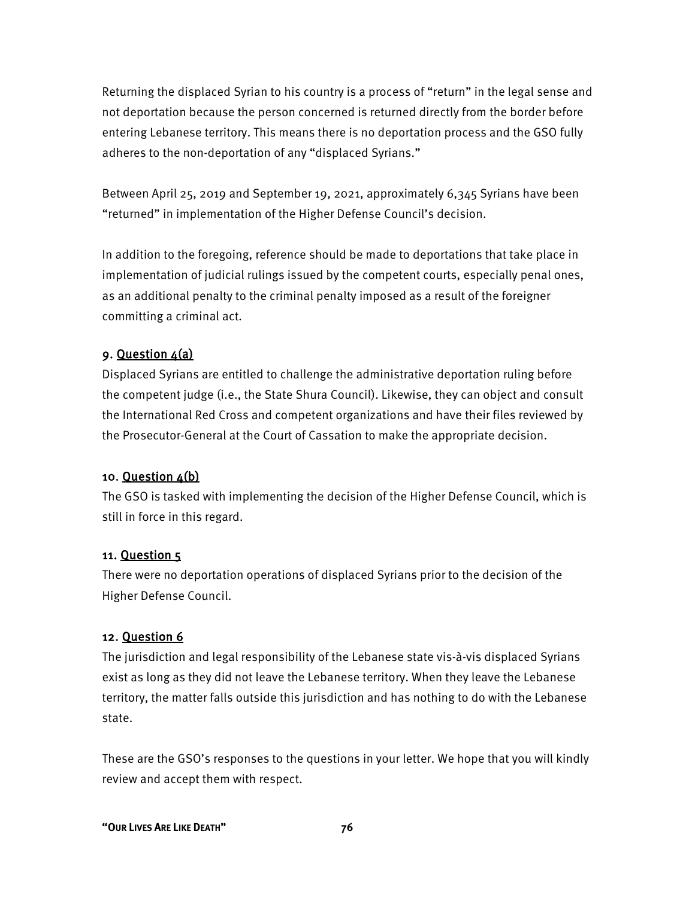Returning the displaced Syrian to his country is a process of "return" in the legal sense and not deportation because the person concerned is returned directly from the border before entering Lebanese territory. This means there is no deportation process and the GSO fully adheres to the non-deportation of any "displaced Syrians."

Between April 25, 2019 and September 19, 2021, approximately 6,345 Syrians have been "returned" in implementation of the Higher Defense Council's decision.

In addition to the foregoing, reference should be made to deportations that take place in implementation of judicial rulings issued by the competent courts, especially penal ones, as an additional penalty to the criminal penalty imposed as a result of the foreigner committing a criminal act.

## 9. Question 4(a)

Displaced Syrians are entitled to challenge the administrative deportation ruling before the competent judge (i.e., the State Shura Council). Likewise, they can object and consult the International Red Cross and competent organizations and have their files reviewed by the Prosecutor-General at the Court of Cassation to make the appropriate decision.

#### 10. Question 4(b)

The GSO is tasked with implementing the decision of the Higher Defense Council, which is still in force in this regard.

#### 11. Question 5

There were no deportation operations of displaced Syrians prior to the decision of the Higher Defense Council.

#### 12. Question 6

The jurisdiction and legal responsibility of the Lebanese state vis-à-vis displaced Syrians exist as long as they did not leave the Lebanese territory. When they leave the Lebanese territory, the matter falls outside this jurisdiction and has nothing to do with the Lebanese state.

These are the GSO's responses to the questions in your letter. We hope that you will kindly review and accept them with respect.